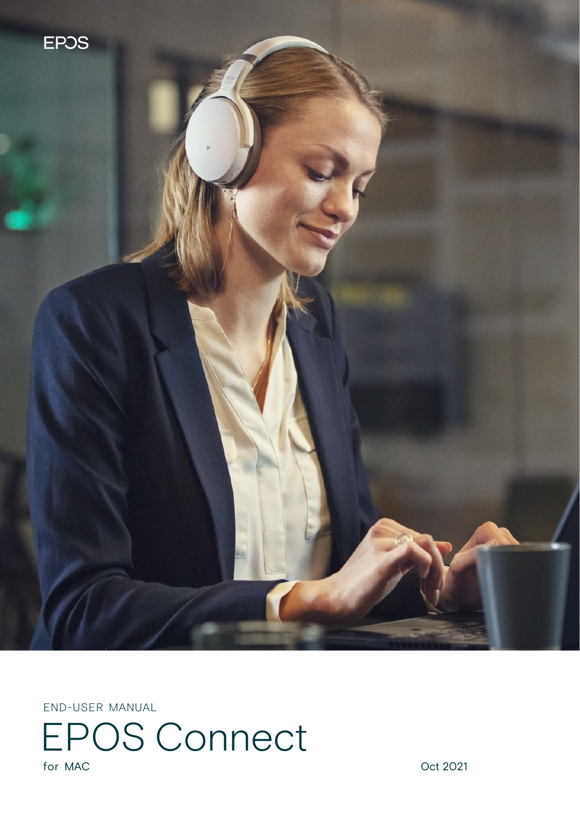

END-USER MANUAL

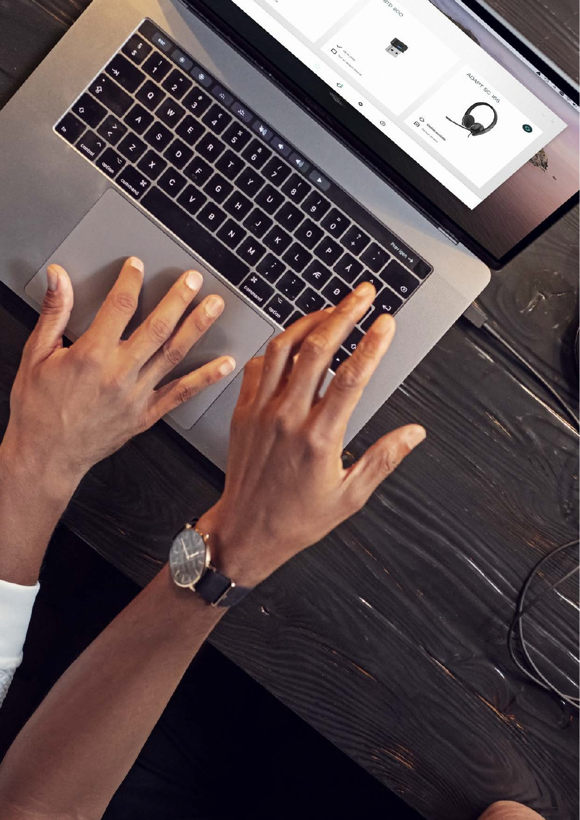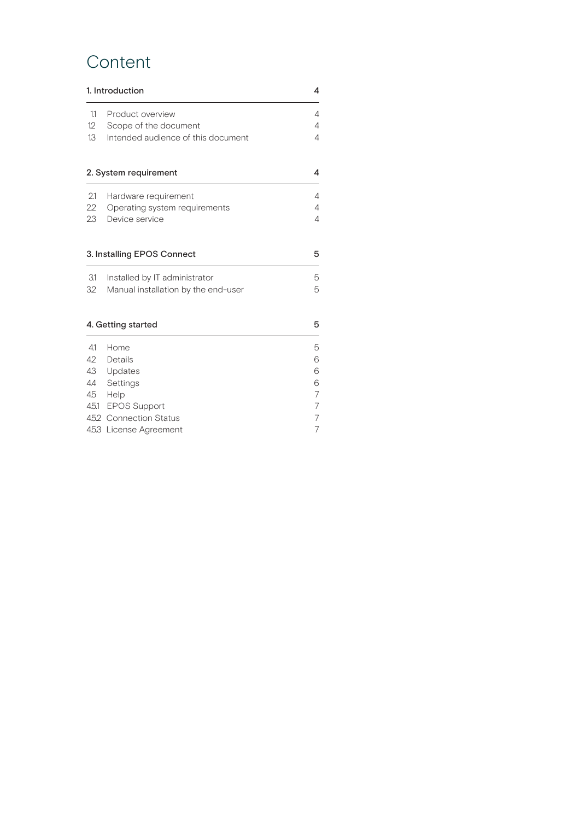# Content

| 1. Introduction | 4                                   |                |
|-----------------|-------------------------------------|----------------|
| 11              | Product overview                    | 4              |
| 12              | Scope of the document               | $\overline{4}$ |
| 13              | Intended audience of this document  | 4              |
|                 | 2. System requirement               | 4              |
| 21              | Hardware requirement                | 4              |
| 2.2             | Operating system requirements       | 4              |
| 2.3             | Device service                      | 4              |
|                 | 3. Installing EPOS Connect          | 5              |
| 3.1             | Installed by IT administrator       | 5              |
| 3.2             | Manual installation by the end-user | 5              |
|                 | 4. Getting started                  | 5              |
| 41              | Home                                | 5              |
| 42              | Details                             | 6              |
| 4.3             | Updates                             | 6              |
| 4.4             | Settings                            | 6              |
| 4.5             | Help                                | 7              |
|                 | 451 EPOS Support                    | 7              |
|                 | 452 Connection Status               | 7              |
|                 | 453 License Agreement               | 7              |
|                 |                                     |                |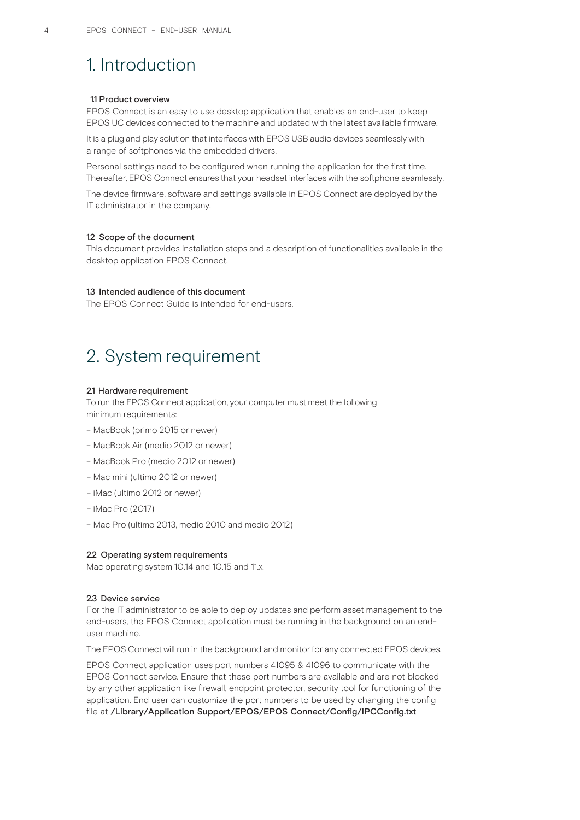## <span id="page-3-0"></span>1. Introduction

#### 1.1 Product overview

EPOS Connect is an easy to use desktop application that enables an end-user to keep EPOS UC devices connected to the machine and updated with the latest available firmware.

It is a plug and play solution that interfaces with EPOS USB audio devices seamlessly with a range of softphones via the embedded drivers.

Personal settings need to be configured when running the application for the first time. Thereafter, EPOS Connect ensures that your headset interfaces with the softphone seamlessly.

The device firmware, software and settings available in EPOS Connect are deployed by the IT administrator in the company.

#### 1.2 Scope of the document

This document provides installation steps and a description of functionalities available in the desktop application EPOS Connect.

#### 1.3 Intended audience of this document

The EPOS Connect Guide is intended for end-users.

### <span id="page-3-1"></span>2. System requirement

#### 2.1 Hardware requirement

To run the EPOS Connect application, your computer must meet the following minimum requirements:

- MacBook (primo 2015 or newer)
- MacBook Air (medio 2012 or newer)
- MacBook Pro (medio 2012 or newer)
- Mac mini (ultimo 2012 or newer)
- iMac (ultimo 2012 or newer)
- iMac Pro (2017)
- Mac Pro (ultimo 2013, medio 2010 and medio 2012)

#### 2.2 Operating system requirements

Mac operating system 10.14 and 10.15 and 11.x.

#### 2.3 Device service

For the IT administrator to be able to deploy updates and perform asset management to the end-users, the EPOS Connect application must be running in the background on an enduser machine.

The EPOS Connect will run in the background and monitor for any connected EPOS devices.

EPOS Connect application uses port numbers 41095 & 41096 to communicate with the EPOS Connect service. Ensure that these port numbers are available and are not blocked by any other application like firewall, endpoint protector, security tool for functioning of the application. End user can customize the port numbers to be used by changing the config file at /Library/Application Support/EPOS/EPOS Connect/Config/IPCConfig.txt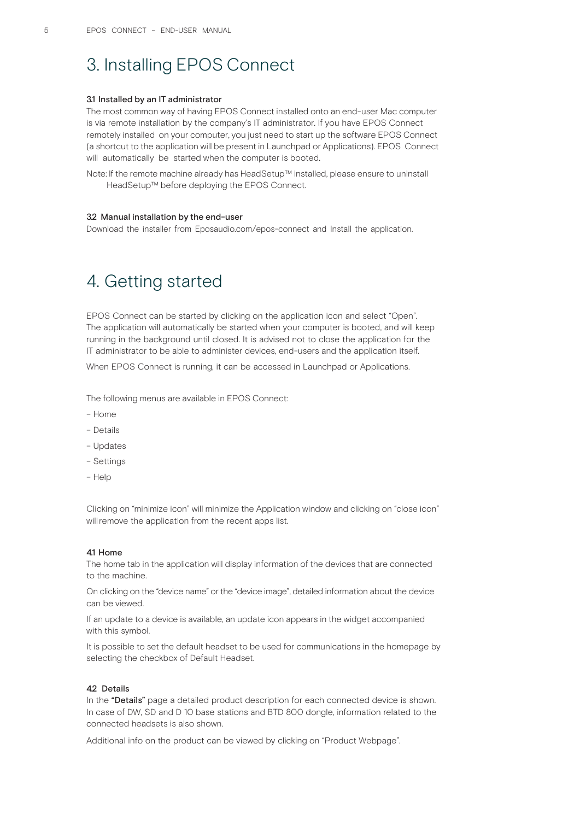### <span id="page-4-0"></span>3. Installing EPOS Connect

#### 3.1 Installed by an IT administrator

The most common way of having EPOS Connect installed onto an end-user Mac computer is via remote installation by the company's IT administrator. If you have EPOS Connect remotely installed on your computer, you just need to start up the software EPOS Connect (a shortcut to the application will be present in Launchpad or Applications). EPOS Connect will automatically be started when the computer is booted.

Note: If the remote machine already has HeadSetup™ installed, please ensure to uninstall HeadSetup™ before deploying the EPOS Connect.

#### 3.2 Manual installation by the end-user

Download the installer from Eposaudio.com/epos-connect and Install the application.

### <span id="page-4-1"></span>4. Getting started

EPOS Connect can be started by clicking on the application icon and select "Open". The application will automatically be started when your computer is booted, and will keep running in the background until closed. It is advised not to close the application for the IT administrator to be able to administer devices, end-users and the application itself.

When EPOS Connect is running, it can be accessed in Launchpad or Applications.

The following menus are available in EPOS Connect:

- Home
- Details
- Updates
- Settings
- Help

Clicking on "minimize icon" will minimize the Application window and clicking on "close icon" will remove the application from the recent apps list.

#### 4.1 Home

The home tab in the application will display information of the devices that are connected to the machine.

On clicking on the "device name" or the "device image", detailed information about the device can be viewed.

If an update to a device is available, an update icon appears in the widget accompanied with this symbol.

It is possible to set the default headset to be used for communications in the homepage by selecting the checkbox of Default Headset.

#### 4.2 Details

In the "Details" page a detailed product description for each connected device is shown. In case of DW, SD and D 10 base stations and BTD 800 dongle, information related to the connected headsets is also shown.

Additional info on the product can be viewed by clicking on "Product Webpage".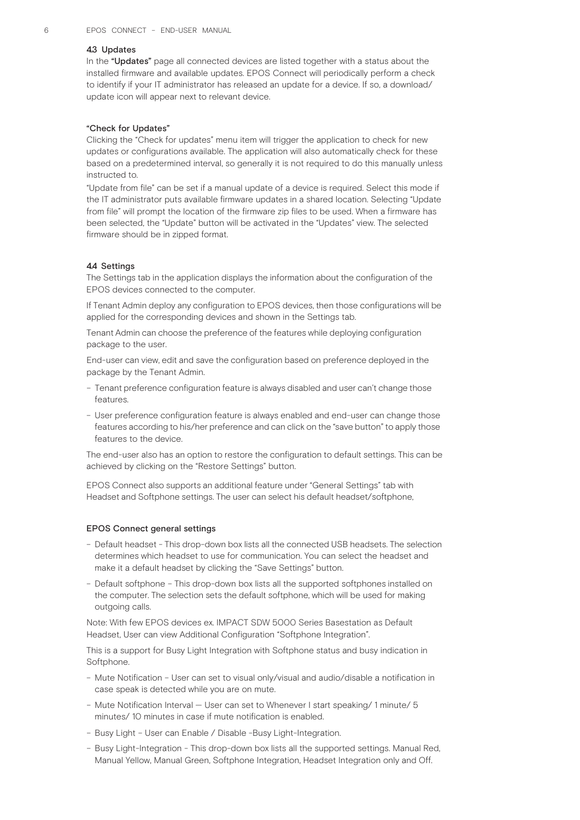#### 4.3 Updates

In the "Updates" page all connected devices are listed together with a status about the installed firmware and available updates. EPOS Connect will periodically perform a check to identify if your IT administrator has released an update for a device. If so, a download/ update icon will appear next to relevant device.

#### "Check for Updates"

Clicking the "Check for updates" menu item will trigger the application to check for new updates or configurations available. The application will also automatically check for these based on a predetermined interval, so generally it is not required to do this manually unless instructed to.

"Update from file" can be set if a manual update of a device is required. Select this mode if the IT administrator puts available firmware updates in a shared location. Selecting "Update from file" will prompt the location of the firmware zip files to be used. When a firmware has been selected, the "Update" button will be activated in the "Updates" view. The selected firmware should be in zipped format.

#### 4.4 Settings

The Settings tab in the application displays the information about the configuration of the EPOS devices connected to the computer.

If Tenant Admin deploy any configuration to EPOS devices, then those configurations will be applied for the corresponding devices and shown in the Settings tab.

Tenant Admin can choose the preference of the features while deploying configuration package to the user.

End-user can view, edit and save the configuration based on preference deployed in the package by the Tenant Admin.

- Tenant preference configuration feature is always disabled and user can't change those features.
- User preference configuration feature is always enabled and end-user can change those features according to his/her preference and can click on the "save button" to apply those features to the device.

The end-user also has an option to restore the configuration to default settings. This can be achieved by clicking on the "Restore Settings" button.

EPOS Connect also supports an additional feature under "General Settings" tab with Headset and Softphone settings. The user can select his default headset/softphone,

#### EPOS Connect general settings

- Default headset This drop-down box lists all the connected USB headsets. The selection determines which headset to use for communication. You can select the headset and make it a default headset by clicking the "Save Settings" button.
- Default softphone This drop-down box lists all the supported softphones installed on the computer. The selection sets the default softphone, which will be used for making outgoing calls.

Note: With few EPOS devices ex. IMPACT SDW 5000 Series Basestation as Default Headset, User can view Additional Configuration "Softphone Integration".

This is a support for Busy Light Integration with Softphone status and busy indication in Softphone.

- Mute Notification User can set to visual only/visual and audio/disable a notification in case speak is detected while you are on mute.
- Mute Notification Interval User can set to Whenever I start speaking/ 1 minute/ 5 minutes/ 10 minutes in case if mute notification is enabled.
- Busy Light User can Enable / Disable -Busy Light-Integration.
- Busy Light-Integration This drop-down box lists all the supported settings. Manual Red, Manual Yellow, Manual Green, Softphone Integration, Headset Integration only and Off.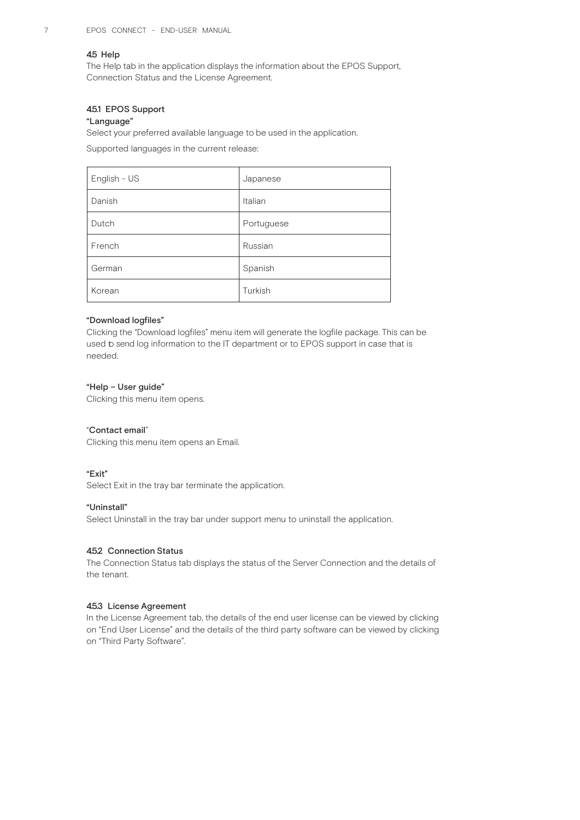#### 4.5 Help

The Help tab in the application displays the information about the EPOS Support, Connection Status and the License Agreement.

#### 4.5.1 EPOS Support

### "Language"

Select your preferred available language to be used in the application.

Supported languages in the current release:

| English - US | Japanese   |
|--------------|------------|
| Danish       | Italian    |
| Dutch        | Portuguese |
| French       | Russian    |
| German       | Spanish    |
| Korean       | Turkish    |

#### "Download logfiles"

Clicking the "Download logfiles" menu item will generate the logfile package. This can be used b send log information to the IT department or to EPOS support in case that is needed.

#### "Help – User guide"

Clicking this menu item opens.

#### "Contact email"

Clicking this menu item opens an Email.

#### "Exit"

Select Exit in the tray bar terminate the application.

#### "Uninstall"

Select Uninstall in the tray bar under support menu to uninstall the application.

#### 4.5.2 Connection Status

The Connection Status tab displays the status of the Server Connection and the details of the tenant.

#### 4.5.3 License Agreement

In the License Agreement tab, the details of the end user license can be viewed by clicking on "End User License" and the details of the third party software can be viewed by clicking on "Third Party Software".